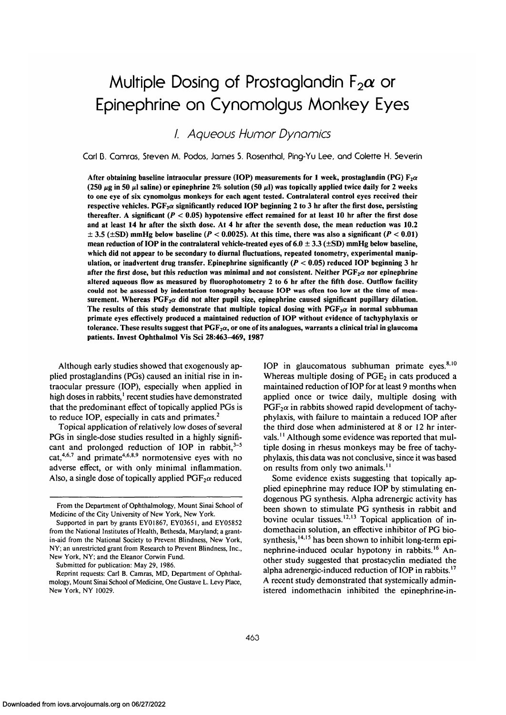# Multiple Dosing of Prostaglandin  $F_2\alpha$  or Epinephrine on Cynonnolgus Monkey Eyes

/. Aqueous Humor Dynomics

Carl D. Camros, Steven M. Podos, James S. Rosenfhal, Ping-Yu Lee, and Colette H. Severin

After obtaining baseline intraocular pressure (IOP) measurements for 1 week, prostaglandin (PG)  $F_2\alpha$ (250  $\mu$ g in 50  $\mu$ l saline) or epinephrine 2% solution (50  $\mu$ l) was topically applied twice daily for 2 weeks **to one eye of six cynomolgus monkeys for each agent tested. Contralateral control eyes received their** respective vehicles. PGF<sub>2</sub> $\alpha$  significantly reduced IOP beginning 2 to 3 hr after the first dose, persisting **thereafter. A significant** *(P <* **0.05) hypotensive effect remained for at least 10 hr after the first dose and at least 14 hr after the sixth dose. At 4 hr after the seventh dose, the mean reduction was 10.2 ± 3.5 (±SD) mmHg below baseline** *(P <* **0.0025). At this time, there was also a significant (P < 0.01) mean reduction of IOP in the contralateral vehicle-treated eyes of 6.0 ± 3.3 (±SD) mmHg below baseline, which did not appear to be secondary to diurnal fluctuations, repeated tonometry, experimental manipulation, or inadvertent drug transfer. Epinephrine significantly** *(P <* **0.05) reduced IOP beginning 3 hr** after the first dose, but this reduction was minimal and not consistent. Neither  $PGF_2\alpha$  nor epinephrine **altered aqueous flow as measured by fluorophotometry 2 to 6 hr after the fifth dose. Outflow facility could not be assessed by indentation tonography because IOP was often too low at the time of mea**surement. Whereas  $PGF<sub>2</sub>α$  did not alter pupil size, epinephrine caused significant pupillary dilation. The results of this study demonstrate that multiple topical dosing with  $PGF<sub>2</sub> \alpha$  in normal subhuman **primate eyes effectively produced a maintained reduction of IOP without evidence of tachyphylaxis or** tolerance. These results suggest that  $PGF<sub>2</sub>α$ , or one of its analogues, warrants a clinical trial in glaucoma **patients. Invest Ophthalmol Vis Sci 28:463-469, 1987**

Although early studies showed that exogenously applied prostaglandins (PGs) caused an initial rise in intraocular pressure (IOP), especially when applied in high doses in rabbits,<sup>1</sup> recent studies have demonstrated that the predominant effect of topically applied PGs is to reduce IOP, especially in cats and primates.<sup>2</sup>

Topical application of relatively low doses of several PGs in single-dose studies resulted in a highly significant and prolonged reduction of IOP in rabbit,  $3-5$ cat,<sup>4,6,7</sup> and primate<sup>4,6,8,9</sup> normotensive eyes with no adverse effect, or with only minimal inflammation. Also, a single dose of topically applied  $PGF<sub>2</sub>\alpha$  reduced

Submitted for publication: May 29, 1986.

IOP in glaucomatous subhuman primate eyes. $8,10$ Whereas multiple dosing of  $PGE<sub>2</sub>$  in cats produced a maintained reduction of IOP for at least 9 months when applied once or twice daily, multiple dosing with  $PGF<sub>2</sub>$  in rabbits showed rapid development of tachyphylaxis, with failure to maintain a reduced IOP after the third dose when administered at 8 or 12 hr intervals.<sup>11</sup> Although some evidence was reported that multiple dosing in rhesus monkeys may be free of tachyphylaxis, this data was not conclusive, since it was based on results from only two animals.''

Some evidence exists suggesting that topically applied epinephrine may reduce IOP by stimulating endogenous PG synthesis. Alpha adrenergic activity has been shown to stimulate PG synthesis in rabbit and bovine ocular tissues.<sup>12,13</sup> Topical application of indomethacin solution, an effective inhibitor of PG biosynthesis,  $14,15$  has been shown to inhibit long-term epinephrine-induced ocular hypotony in rabbits.<sup>16</sup> Another study suggested that prostacyclin mediated the alpha adrenergic-induced reduction of IOP in rabbits.<sup>17</sup> A recent study demonstrated that systemically administered indomethacin inhibited the epinephrine-in-

From the Department of Ophthalmology, Mount Sinai School of Medicine of the City University of New York, New York.

Supported in part by grants EY01867, EY03651, and EY05852 from the National Institutes of Health, Bethesda, Maryland; a grantin-aid from the National Society to Prevent Blindness, New York, NY; an unrestricted grant from Research to Prevent Blindness, Inc., New York, NY; and the Eleanor Corwin Fund.

Reprint requests: Carl B. Camras, MD, Department of Ophthalmology, Mount Sinai School of Medicine, One Gustave L. Levy Place, New York, NY 10029.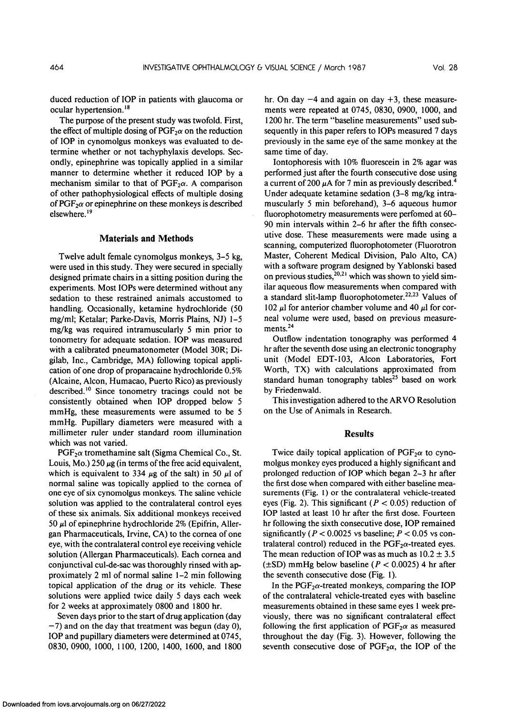duced reduction of IOP in patients with glaucoma or ocular hypertension.<sup>18</sup>

The purpose of the present study was twofold. First, the effect of multiple dosing of  $PGF_2\alpha$  on the reduction of IOP in cynomolgus monkeys was evaluated to determine whether or not tachyphylaxis develops. Secondly, epinephrine was topically applied in a similar manner to determine whether it reduced IOP by a mechanism similar to that of PGF<sub>2</sub> $\alpha$ . A comparison of other pathophysiological effects of multiple dosing of  $PGF_2\alpha$  or epinephrine on these monkeys is described elsewhere.<sup>19</sup>

## **Materials and Methods**

Twelve adult female cynomolgus monkeys, 3-5 kg, were used in this study. They were secured in specially designed primate chairs in a sitting position during the experiments. Most IOPs were determined without any sedation to these restrained animals accustomed to handling. Occasionally, ketamine hydrochloride (50 mg/ml; Ketalar; Parke-Davis, Morris Plains, NJ) 1-5 mg/kg was required intramuscularly 5 min prior to tonometry for adequate sedation. IOP was measured with a calibrated pneumatonometer (Model 30R; Digilab, Inc., Cambridge, MA) following topical application of one drop of proparacaine hydrochloride 0.5% (Alcaine, Alcon, Humacao, Puerto Rico) as previously described.<sup>10</sup> Since tonometry tracings could not be consistently obtained when IOP dropped below 5 mmHg, these measurements were assumed to be 5 mmHg. Pupillary diameters were measured with a millimeter ruler under standard room illumination which was not varied.

 $PGF<sub>2</sub>\alpha$  tromethamine salt (Sigma Chemical Co., St. Louis, Mo.)  $250 \mu g$  (in terms of the free acid equivalent, which is equivalent to 334  $\mu$ g of the salt) in 50  $\mu$ l of normal saline was topically applied to the cornea of one eye of six cynomolgus monkeys. The saline vehicle solution was applied to the contralateral control eyes of these six animals. Six additional monkeys received 50  $\mu$ l of epinephrine hydrochloride 2% (Epifrin, Allergan Pharmaceuticals, Irvine, CA) to the cornea of one eye, with the contralateral control eye receiving vehicle solution (Allergan Pharmaceuticals). Each cornea and conjunctival cul-de-sac was thoroughly rinsed with approximately 2 ml of normal saline 1-2 min following topical application of the drug or its vehicle. These solutions were applied twice daily 5 days each week for 2 weeks at approximately 0800 and 1800 hr.

Seven days prior to the start of drug application (day  $-7$ ) and on the day that treatment was begun (day 0), IOP and pupillary diameters were determined at 0745, 0830, 0900, 1000, 1100, 1200, 1400, 1600, and 1800

hr. On day  $-4$  and again on day  $+3$ , these measurements were repeated at 0745, 0830, 0900, 1000, and 1200 hr. The term "baseline measurements" used subsequently in this paper refers to IOPs measured 7 days previously in the same eye of the same monkey at the same time of day.

Iontophoresis with 10% fluorescein in 2% agar was performed just after the fourth consecutive dose using a current of 200  $\mu$ A for 7 min as previously described.<sup>4</sup> Under adequate ketamine sedation (3-8 mg/kg intramuscularly 5 min beforehand), 3-6 aqueous humor fluorophotometry measurements were perfomed at 60- 90 min intervals within 2-6 hr after the fifth consecutive dose. These measurements were made using a scanning, computerized fluorophotometer (Fluorotron Master, Coherent Medical Division, Palo Alto, CA) with a software program designed by Yablonski based on previous studies,  $20,21$  which was shown to yield similar aqueous flow measurements when compared with a standard slit-lamp fluorophotometer.<sup>22,23</sup> Values of 102  $\mu$ l for anterior chamber volume and 40  $\mu$ l for corneal volume were used, based on previous measurements.<sup>24</sup>

Outflow indentation tonography was performed 4 hr after the seventh dose using an electronic tonography unit (Model EDT-103, Alcon Laboratories, Fort Worth, TX) with calculations approximated from standard human tonography tables<sup>25</sup> based on work by Friedenwald.

This investigation adhered to the ARVO Resolution on the Use of Animals in Research.

### **Results**

Twice daily topical application of  $PGF_2\alpha$  to cynomolgus monkey eyes produced a highly significant and prolonged reduction of IOP which began 2-3 hr after the first dose when compared with either baseline measurements (Fig. 1) or the contralateral vehicle-treated eyes (Fig. 2). This significant *(P <* 0.05) reduction of IOP lasted at least 10 hr after the first dose. Fourteen hr following the sixth consecutive dose, IOP remained significantly *(P <* 0.0025 vs baseline; *P <* 0.05 vs contralateral control) reduced in the  $PGF<sub>2</sub>\alpha$ -treated eyes. The mean reduction of IOP was as much as  $10.2 \pm 3.5$  $(\pm SD)$  mmHg below baseline ( $P < 0.0025$ ) 4 hr after the seventh consecutive dose (Fig. 1).

In the  $PGF_2\alpha$ -treated monkeys, comparing the IOP of the contralateral vehicle-treated eyes with baseline measurements obtained in these same eyes 1 week previously, there was no significant contralateral effect following the first application of  $PGF_2\alpha$  as measured throughout the day (Fig. 3). However, following the seventh consecutive dose of  $PGF_2\alpha$ , the IOP of the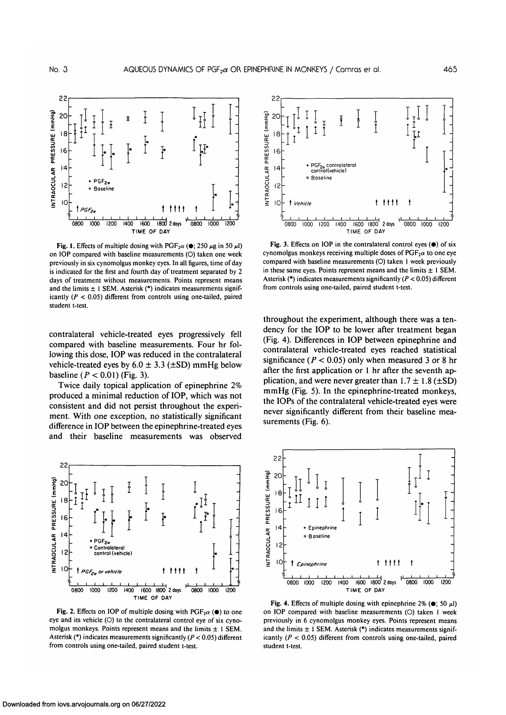

Fig. 1. Effects of multiple dosing with  $PGF<sub>2</sub>\alpha$  ( $\bullet$ ; 250  $\mu$ g in 50  $\mu$ l) on IOP compared with baseline measurements (O) taken one week previously in six cynomolgus monkey eyes. In all figures, time of day is indicated for the first and fourth day of treatment separated by 2 days of treatment without measurements. Points represent means and the limits  $\pm$  1 SEM. Asterisk (\*) indicates measurements significantly *(P <* 0.05) different from controls using one-tailed, paired student t-test.

contralateral vehicle-treated eyes progressively fell compared with baseline measurements. Four hr following this dose, IOP was reduced in the contralateral vehicle-treated eyes by  $6.0 \pm 3.3$  ( $\pm$ SD) mmHg below baseline ( $P < 0.01$ ) (Fig. 3).

Twice daily topical application of epinephrine 2% produced a minimal reduction of IOP, which was not consistent and did not persist throughout the experiment. With one exception, no statistically significant difference in IOP between the epinephrine-treated eyes and their baseline measurements was observed



Fig. 2. Effects on IOP of multiple dosing with  $PGF_2\alpha$  ( $\bullet$ ) to one eye and its vehicle (O) to the contralateral control eye of six cynomolgus monkeys. Points represent means and the limits  $\pm$  1 SEM. Asterisk (\*) indicates measurements significantly *(P <* 0.05) different from controls using one-tailed, paired student t-test.



Fig. 3. Effects on IOP in the contralateral control eyes  $(\bullet)$  of six cynomolgus monkeys receiving multiple doses of  $PGF<sub>2</sub>α$  to one eye compared with baseline measurements (O) taken 1 week previously in these same eyes. Points represent means and the limits  $\pm 1$  SEM. Asterisk (\*) indicates measurements significantly *(P <* 0.05) different from controls using one-tailed, paired student t-test.

throughout the experiment, although there was a tendency for the IOP to be lower after treatment began (Fig. 4). Differences in IOP between epinephrine and contralateral vehicle-treated eyes reached statistical significance  $(P < 0.05)$  only when measured 3 or 8 hr after the first application or 1 hr after the seventh application, and were never greater than  $1.7 \pm 1.8$  ( $\pm$ SD) mmHg (Fig. 5). In the epinephrine-treated monkeys, the IOPs of the contralateral vehicle-treated eyes were never significantly different from their baseline measurements (Fig. 6).



Fig. 4. Effects of multiple dosing with epinephrine  $2\%$  ( $\bullet$ ; 50  $\mu$ l) on IOP compared with baseline measurements (O) taken 1 week previously in 6 cynomolgus monkey eyes. Points represent means and the limits  $\pm$  1 SEM. Asterisk (\*) indicates measurements significantly *(P <* 0.05) different from controls using one-tailed, paired student t-test.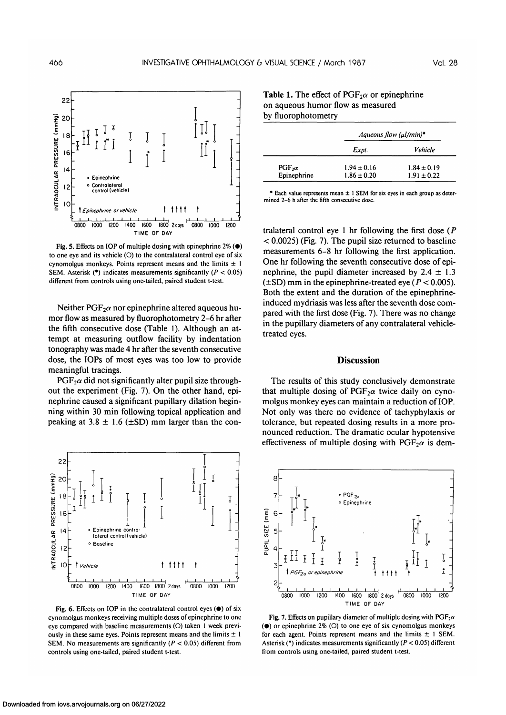

Fig. 5. Effects on IOP of multiple dosing with epinephrine  $2\%$  ( $\bullet$ ) to one eye and its vehicle (O) to the contralateral control eye of six cynomolgus monkeys. Points represent means and the limits  $\pm$  1 SEM. Asterisk (\*) indicates measurements significantly *(P <* 0.05) different from controls using one-tailed, paired student t-test.

Neither  $PGF_2\alpha$  nor epinephrine altered aqueous humor flow as measured by fluorophotometry 2-6 hr after the fifth consecutive dose (Table 1). Although an attempt at measuring outflow facility by indentation tonography was made 4 hr after the seventh consecutive dose, the IOPs of most eyes was too low to provide meaningful tracings.

 $PGF<sub>2</sub>\alpha$  did not significantly alter pupil size throughout the experiment (Fig. 7). On the other hand, epinephrine caused a significant pupillary dilation beginning within 30 min following topical application and peaking at  $3.8 \pm 1.6$  ( $\pm$ SD) mm larger than the con-



Fig. 6. Effects on IOP in the contralateral control eyes  $(\bullet)$  of six cynomolgus monkeys receiving multiple doses of epinephrine to one eye compared with baseline measurements (O) taken 1 week previously in these same eyes. Points represent means and the limits  $\pm 1$ SEM. No measurements are significantly *(P <* 0.05) different from controls using one-tailed, paired student t-test.

| by iluorophotometry          |                                    |                                    |
|------------------------------|------------------------------------|------------------------------------|
|                              | Aqueous flow $(\mu l/min)^*$       |                                    |
|                              | Expt.                              | Vehicle                            |
| $PGF_2\alpha$<br>Epinephrine | $1.94 \pm 0.16$<br>$1.86 \pm 0.20$ | $1.84 \pm 0.19$<br>$1.91 \pm 0.22$ |

**Table 1.** The effect of  $PGF_2\alpha$  or epinephrine on aqueous humor flow as measured by fluorophotometry

\* Each value represents mean  $\pm$  1 SEM for six eyes in each group as determined 2-6 h after the fifth consecutive dose.

tralateral control eye 1 hr following the first dose *(P <* 0.0025) (Fig. 7). The pupil size returned to baseline measurements 6-8 hr following the first application. One hr following the seventh consecutive dose of epinephrine, the pupil diameter increased by  $2.4 \pm 1.3$ (±SD) mm in the epinephrine-treated eye *(P <* 0.005). Both the extent and the duration of the epinephrineinduced mydriasis was less after the seventh dose compared with the first dose (Fig. 7). There was no change in the pupillary diameters of any contralateral vehicletreated eyes.

#### **Discussion**

The results of this study conclusively demonstrate that multiple dosing of  $PGF_2\alpha$  twice daily on cynomolgus monkey eyes can maintain a reduction of IOP. Not only was there no evidence of tachyphylaxis or tolerance, but repeated dosing results in a more pronounced reduction. The dramatic ocular hypotensive effectiveness of multiple dosing with  $PGF<sub>2</sub>\alpha$  is dem-



Fig. 7. Effects on pupillary diameter of multiple dosing with  $PGF_2\alpha$  $\bullet$ ) or epinephrine 2% (O) to one eye of six cynomolgus monkeys for each agent. Points represent means and the limits  $\pm$  1 SEM. Asterisk (\*) indicates measurements significantly *(P <* 0.05) different from controls using one-tailed, paired student t-test.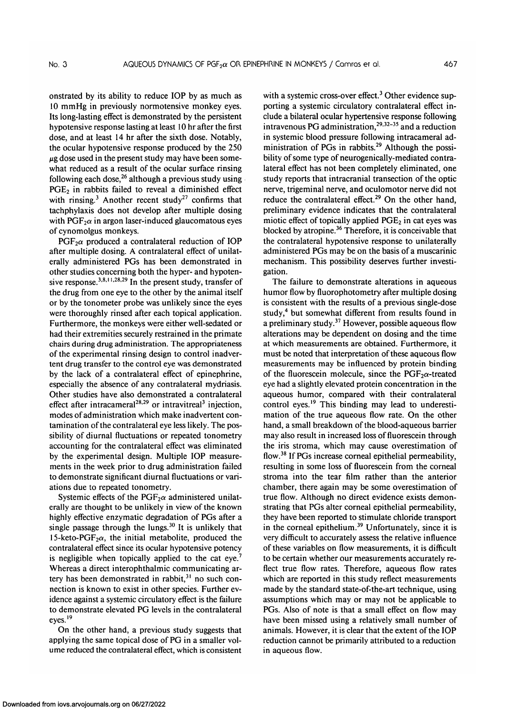onstrated by its ability to reduce IOP by as much as 10 mmHg in previously normotensive monkey eyes. Its long-lasting effect is demonstrated by the persistent hypotensive response lasting at least 10 hr after the first dose, and at least 14 hr after the sixth dose. Notably, the ocular hypotensive response produced by the 250  $\mu$ g dose used in the present study may have been somewhat reduced as a result of the ocular surface rinsing following each dose,  $2^6$  although a previous study using  $PGE<sub>2</sub>$  in rabbits failed to reveal a diminished effect with rinsing.<sup>3</sup> Another recent study<sup>27</sup> confirms that tachphylaxis does not develop after multiple dosing with  $PGF<sub>2</sub>\alpha$  in argon laser-induced glaucomatous eyes of cynomolgus monkeys.

 $PGF<sub>2</sub>\alpha$  produced a contralateral reduction of IOP after multiple dosing. A contralateral effect of unilaterally administered PGs has been demonstrated in other studies concerning both the hyper- and hypotensive response.<sup>3,8,11,28,29</sup> In the present study, transfer of the drug from one eye to the other by the animal itself or by the tonometer probe was unlikely since the eyes were thoroughly rinsed after each topical application. Furthermore, the monkeys were either well-sedated or had their extremities securely restrained in the primate chairs during drug administration. The appropriateness of the experimental rinsing design to control inadvertent drug transfer to the control eye was demonstrated by the lack of a contralateral effect of epinephrine, especially the absence of any contralateral mydriasis. Other studies have also demonstrated a contralateral effect after intracameral<sup>28,29</sup> or intravitreal<sup>3</sup> injection, modes of administration which make inadvertent contamination of the contralateral eye less likely. The possibility of diurnal fluctuations or repeated tonometry accounting for the contralateral effect was eliminated by the experimental design. Multiple IOP measurements in the week prior to drug administration failed to demonstrate significant diurnal fluctuations or variations due to repeated tonometry.

Systemic effects of the  $PGF_2\alpha$  administered unilaterally are thought to be unlikely in view of the known highly effective enzymatic degradation of PGs after a single passage through the lungs.<sup>30</sup> It is unlikely that 15-keto-PGF<sub>2</sub> $\alpha$ , the initial metabolite, produced the contralateral effect since its ocular hypotensive potency is negligible when topically applied to the cat eye.<sup>7</sup> Whereas a direct interophthalmic communicating artery has been demonstrated in rabbit,<sup>31</sup> no such connection is known to exist in other species. Further evidence against a systemic circulatory effect is the failure to demonstrate elevated PG levels in the contralateral eyes.<sup>19</sup>

On the other hand, a previous study suggests that applying the same topical dose of PG in a smaller volume reduced the contralateral effect, which is consistent

with a systemic cross-over effect.<sup>3</sup> Other evidence supporting a systemic circulatory contralateral effect include a bilateral ocular hypertensive response following intravenous PG administration,<sup>29,32-35</sup> and a reduction in systemic blood pressure following intracameral administration of PGs in rabbits.<sup>29</sup> Although the possibility of some type of neurogenically-mediated contralateral effect has not been completely eliminated, one study reports that intracranial transection of the optic nerve, trigeminal nerve, and oculomotor nerve did not reduce the contralateral effect.<sup>29</sup> On the other hand, preliminary evidence indicates that the contralateral miotic effect of topically applied  $PGE_2$  in cat eyes was blocked by atropine.<sup>36</sup> Therefore, it is conceivable that the contralateral hypotensive response to unilaterally administered PGs may be on the basis of a muscarinic mechanism. This possibility deserves further investigation.

The failure to demonstrate alterations in aqueous humor flow by fluorophotometry after multiple dosing is consistent with the results of a previous single-dose study,<sup>4</sup> but somewhat different from results found in a preliminary study.<sup>37</sup> However, possible aqueous flow alterations may be dependent on dosing and the time at which measurements are obtained. Furthermore, it must be noted that interpretation of these aqueous flow measurements may be influenced by protein binding of the fluorescein molecule, since the  $PGF<sub>2</sub>\alpha$ -treated eye had a slightly elevated protein concentration in the aqueous humor, compared with their contralateral control eyes.<sup>19</sup> This binding may lead to underestimation of the true aqueous flow rate. On the other hand, a small breakdown of the blood-aqueous barrier may also result in increased loss of fluorescein through the iris stroma, which may cause overestimation of flow.<sup>38</sup> If PGs increase corneal epithelial permeability, resulting in some loss of fluorescein from the corneal stroma into the tear film rather than the anterior chamber, there again may be some overestimation of true flow. Although no direct evidence exists demonstrating that PGs alter corneal epithelial permeability, they have been reported to stimulate chloride transport in the corneal epithelium.<sup>39</sup> Unfortunately, since it is very difficult to accurately assess the relative influence of these variables on flow measurements, it is difficult to be certain whether our measurements accurately reflect true flow rates. Therefore, aqueous flow rates which are reported in this study reflect measurements made by the standard state-of-the-art technique, using assumptions which may or may not be applicable to PGs. Also of note is that a small effect on flow may have been missed using a relatively small number of animals. However, it is clear that the extent of the IOP reduction cannot be primarily attributed to a reduction in aqueous flow.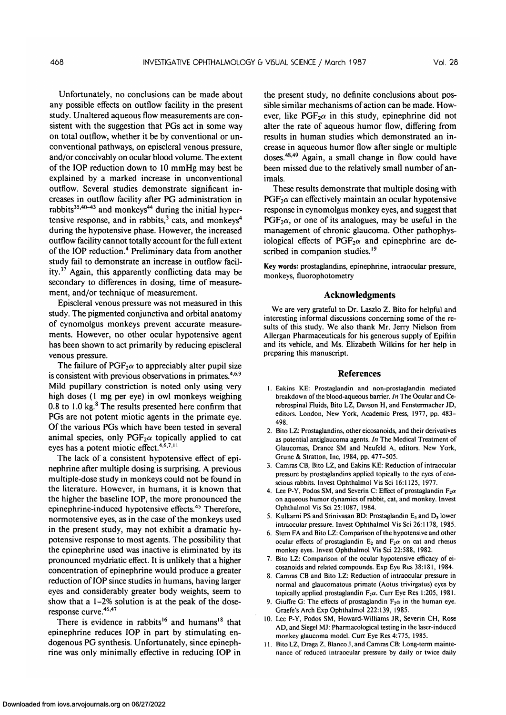Unfortunately, no conclusions can be made about any possible effects on outflow facility in the present study. Unaltered aqueous flow measurements are consistent with the suggestion that PGs act in some way on total outflow, whether it be by conventional or unconventional pathways, on episcleral venous pressure, and/or conceivably on ocular blood volume. The extent of the IOP reduction down to 10 mmHg may best be explained by a marked increase in unconventional outflow. Several studies demonstrate significant increases in outflow facility after PG administration in rabbits<sup>35,40–43</sup> and monkeys<sup>44</sup> during the initial hypertensive response, and in rabbits, $\frac{3}{2}$  cats, and monkeys<sup>4</sup> during the hypotensive phase. However, the increased outflow facility cannot totally account for the full extent of the IOP reduction.<sup>4</sup> Preliminary data from another study fail to demonstrate an increase in outflow facil- $\frac{37}{100}$  and the confliction and movement in the settlem and the state may be detailed that the state of the state may be detailed to  $\frac{37}{100}$  Again. This apparently conflicting data may be secondary to differences in dosing, time of measurement, and/or technique of measurement.

Episcleral venous pressure was not measured in this study. The pigmented conjunctiva and orbital anatomy of cynomolgus monkeys prevent accurate measurements. However, no other ocular hypotensive agent has been shown to act primarily by reducing episcleral venous pressure.

The failure of  $PGF_2\alpha$  to appreciably alter pupil size is consistent with previous observations in primates.<sup>4,6,9</sup> Mild pupillary constriction is noted only using very high doses (1 mg per eye) in owl monkeys weighing 0.8 to 1.0  $\text{kg}$ . $^8$  The results presented here confirm that PGs are not potent miotic agents in the primate eye. Of the various PGs which have been tested in several animal species, only  $PGF_2\alpha$  topically applied to cat eyes has a potent miotic effect.<sup>4,6,7,11</sup>

The lack of a consistent hypotensive effect of epinephrine after multiple dosing is surprising. A previous multiple-dose study in monkeys could not be found in the literature. However, in humans, it is known that the higher the baseline IOP, the more pronounced the epinephrine-induced hypotensive effects.45 Therefore, normotensive eyes, as in the case of the monkeys used in the present study, may not exhibit a dramatic hypotensive response to most agents. The possibility that the epinephrine used was inactive is eliminated by its pronounced mydriatic effect. It is unlikely that a higher concentration of epinephrine would produce a greater reduction of IOP since studies in humans, having larger eyes and considerably greater body weights, seem to show that a 1-2% solution is at the peak of the doseresponse curve.<sup>46,47</sup>

There is evidence in rabbits<sup>16</sup> and humans<sup>18</sup> that epinephrine reduces IOP in part by stimulating endogenous PG synthesis. Unfortunately, since epinephrine was only minimally effective in reducing IOP in the present study, no definite conclusions about possible similar mechanisms of action can be made. However, like  $PGF<sub>2</sub>\alpha$  in this study, epinephrine did not alter the rate of aqueous humor flow, differing from results in human studies which demonstrated an increase in aqueous humor flow after single or multiple doses.<sup>48,49</sup> Again, a small change in flow could have been missed due to the relatively small number of animals.

These results demonstrate that multiple dosing with  $PGF<sub>2</sub>\alpha$  can effectively maintain an ocular hypotensive response in cynomolgus monkey eyes, and suggest that  $PGF<sub>2</sub>\alpha$ , or one of its analogues, may be useful in the management of chronic glaucoma. Other pathophysiological effects of PGF<sub>2</sub> $\alpha$  and epinephrine are described in companion studies.<sup>19</sup>

Key words: prostaglandins, epinephrine, intraocular pressure, monkeys, fluorophotometry

## **Acknowledgments**

We are very grateful to Dr. Laszlo Z. Bito for helpful and interesting informal discussions concerning some of the results of this study. We also thank Mr. Jerry Nielson from Allergan Pharmaceuticals for his generous supply of Epifrin and its vehicle, and Ms. Elizabeth Wilkins for her help in preparing this manuscript.

#### **References**

- 1. Eakins KE: Prostaglandin and non-prostaglandin mediated breakdown of the blood-aqueous barrier. *In* The Ocular and Cerebrospinal Fluids, Bito LZ, Davson H, and Fenstermacher JD, editors. London, New York, Academic Press, 1977, pp. 483- 498.
- 2. Bito LZ: Prostaglandins, other eicosanoids, and their derivatives as potential antiglaucoma agents. *In* The Medical Treatment of Glaucomas, Drance SM and Neufeld A, editors. New York, Grune & Stratton, Inc, 1984, pp. 477-505.
- 3. Camras CB, Bito LZ, and Eakins KE: Reduction of intraocular pressure by prostaglandins applied topically to the eyes of conscious rabbits. Invest Ophthalmol Vis Sci 16:1125, 1977.
- 4. Lee P-Y, Podos SM, and Severin C: Effect of prostaglandin  $F_2\alpha$ on aqueous humor dynamics of rabbit, cat, and monkey. Invest Ophthalmol Vis Sci 25:1087, 1984.
- 5. Kulkarni PS and Srinivasan BD: Prostaglandin  $E_3$  and  $D_3$  lower intraocular pressure. Invest Ophthalmol Vis Sci 26:1178, 1985.
- 6. Stern FA and Bito LZ: Comparison of the hypotensive and other ocular effects of prostaglandin  $E_2$  and  $F_2\alpha$  on cat and rhesus monkey eyes. Invest Ophthalmol Vis Sci 22:588, 1982.
- 7. Bito LZ: Comparison of the ocular hypotensive efficacy of eicosanoids and related compounds. Exp Eye Res 38:181, 1984.
- 8. Camras CB and Bito LZ: Reduction of intraocular pressure in normal and glaucomatous primate (Aotus trivirgatus) eyes by topically applied prostaglandin  $F_2\alpha$ . Curr Eye Res 1:205, 1981.
- 9. Giuffre G: The effects of prostaglandin  $F_2\alpha$  in the human eye. Graefe's Arch Exp Ophthalmol 222:139, 1985.
- 10. Lee P-Y, Podos SM, Howard-Williams JR, Severin CH, Rose AD, and Siegel MJ: Pharmacological testing in the laser-induced monkey glaucoma model. Curr Eye Res 4:775, 1985.
- 11. Bito LZ, Draga Z, Blanco J, and Camras CB: Long-term maintenance of reduced intraocular pressure by daily or twice daily